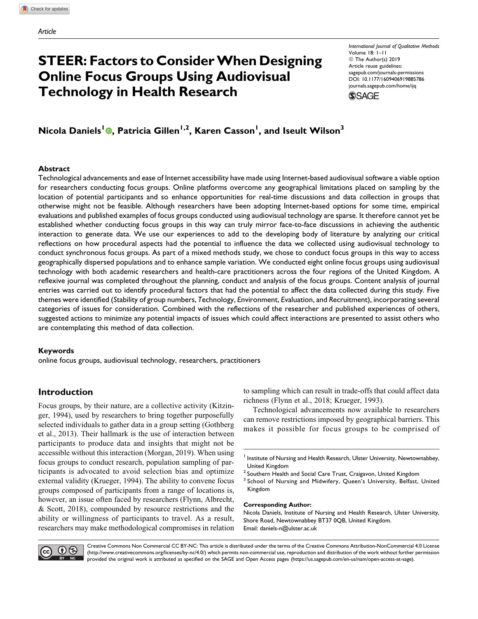# **STEER: Factors to Consider When Designing** Online Focus Groups Using Audiovisual Technology in Health Research

International Journal of Qualitative Methods Volume 18: 1–11 ª The Author(s) 2019 Article reuse guidelines: [sagepub.com/journals-permissions](https://sagepub.com/journals-permissions) [DOI: 10.1177/1609406919885786](https://doi.org/10.1177/1609406919885786) [journals.sagepub.com/home/ijq](http://journals.sagepub.com/home/ijq)



Nicola Daniels<sup>I</sup> ©[,](https://orcid.org/0000-0001-8625-0956) Patricia Gillen<sup>1,2</sup>, Karen Casson<sup>1</sup>, and Iseult Wilson<sup>3</sup>

#### Abstract

Technological advancements and ease of Internet accessibility have made using Internet-based audiovisual software a viable option for researchers conducting focus groups. Online platforms overcome any geographical limitations placed on sampling by the location of potential participants and so enhance opportunities for real-time discussions and data collection in groups that otherwise might not be feasible. Although researchers have been adopting Internet-based options for some time, empirical evaluations and published examples of focus groups conducted using audiovisual technology are sparse. It therefore cannot yet be established whether conducting focus groups in this way can truly mirror face-to-face discussions in achieving the authentic interaction to generate data. We use our experiences to add to the developing body of literature by analyzing our critical reflections on how procedural aspects had the potential to influence the data we collected using audiovisual technology to conduct synchronous focus groups. As part of a mixed methods study, we chose to conduct focus groups in this way to access geographically dispersed populations and to enhance sample variation. We conducted eight online focus groups using audiovisual technology with both academic researchers and health-care practitioners across the four regions of the United Kingdom. A reflexive journal was completed throughout the planning, conduct and analysis of the focus groups. Content analysis of journal entries was carried out to identify procedural factors that had the potential to affect the data collected during this study. Five themes were identified (Stability of group numbers, Technology, Environment, Evaluation, and Recruitment), incorporating several categories of issues for consideration. Combined with the reflections of the researcher and published experiences of others, suggested actions to minimize any potential impacts of issues which could affect interactions are presented to assist others who are contemplating this method of data collection.

#### Keywords

online focus groups, audiovisual technology, researchers, practitioners

# Introduction

Focus groups, by their nature, are a collective activity (Kitzinger, 1994), used by researchers to bring together purposefully selected individuals to gather data in a group setting (Gothberg et al., 2013). Their hallmark is the use of interaction between participants to produce data and insights that might not be accessible without this interaction (Morgan, 2019). When using focus groups to conduct research, population sampling of participants is advocated to avoid selection bias and optimize external validity (Krueger, 1994). The ability to convene focus groups composed of participants from a range of locations is, however, an issue often faced by researchers (Flynn, Albrecht, & Scott, 2018), compounded by resource restrictions and the ability or willingness of participants to travel. As a result, researchers may make methodological compromises in relation

to sampling which can result in trade-offs that could affect data richness (Flynn et al., 2018; Krueger, 1993).

Technological advancements now available to researchers can remove restrictions imposed by geographical barriers. This makes it possible for focus groups to be comprised of

#### Corresponding Author:

Nicola Daniels, Institute of Nursing and Health Research, Ulster University, Shore Road, Newtownabbey BT37 0QB, United Kingdom. Email: [daniels-n@ulster.ac.uk](mailto:daniels-n@ulster.ac.uk)



Creative Commons Non Commercial CC BY-NC: This article is distributed under the terms of the Creative Commons Attribution-NonCommercial 4.0 License ([http://www.creativecommons.org/licenses/by-nc/4.0/\)](http://www.creativecommons.org/licenses/by-nc/4.0/) which permits non-commercial use, reproduction and distribution of the work without further permission provided the original work is attributed as specified on the SAGE and Open Access pages [\(https://us.sagepub.com/en-us/nam/open-access-at-sage\)](https://us.sagepub.com/en-us/nam/open-access-at-sage).

Institute of Nursing and Health Research, Ulster University, Newtownabbey, United Kingdom

<sup>2</sup> Southern Health and Social Care Trust, Craigavon, United Kingdom

School of Nursing and Midwifery, Queen's University, Belfast, United Kingdom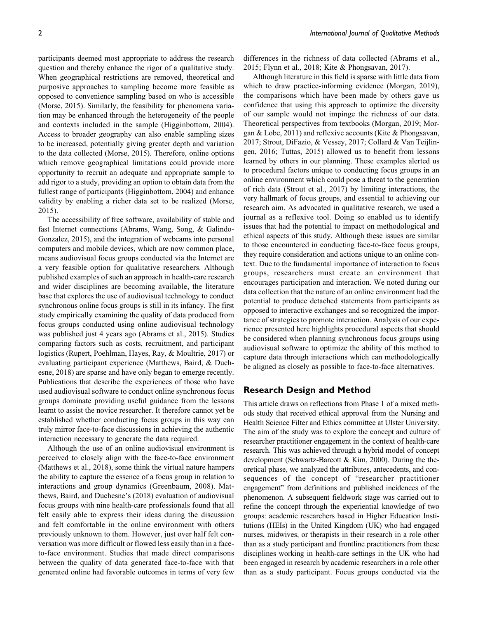participants deemed most appropriate to address the research question and thereby enhance the rigor of a qualitative study. When geographical restrictions are removed, theoretical and purposive approaches to sampling become more feasible as opposed to convenience sampling based on who is accessible (Morse, 2015). Similarly, the feasibility for phenomena variation may be enhanced through the heterogeneity of the people and contexts included in the sample (Higginbottom, 2004). Access to broader geography can also enable sampling sizes to be increased, potentially giving greater depth and variation to the data collected (Morse, 2015). Therefore, online options which remove geographical limitations could provide more opportunity to recruit an adequate and appropriate sample to add rigor to a study, providing an option to obtain data from the fullest range of participants (Higginbottom, 2004) and enhance validity by enabling a richer data set to be realized (Morse, 2015).

The accessibility of free software, availability of stable and fast Internet connections (Abrams, Wang, Song, & Galindo-Gonzalez, 2015), and the integration of webcams into personal computers and mobile devices, which are now common place, means audiovisual focus groups conducted via the Internet are a very feasible option for qualitative researchers. Although published examples of such an approach in health-care research and wider disciplines are becoming available, the literature base that explores the use of audiovisual technology to conduct synchronous online focus groups is still in its infancy. The first study empirically examining the quality of data produced from focus groups conducted using online audiovisual technology was published just 4 years ago (Abrams et al., 2015). Studies comparing factors such as costs, recruitment, and participant logistics (Rupert, Poehlman, Hayes, Ray, & Moultrie, 2017) or evaluating participant experience (Matthews, Baird, & Duchesne, 2018) are sparse and have only began to emerge recently. Publications that describe the experiences of those who have used audiovisual software to conduct online synchronous focus groups dominate providing useful guidance from the lessons learnt to assist the novice researcher. It therefore cannot yet be established whether conducting focus groups in this way can truly mirror face-to-face discussions in achieving the authentic interaction necessary to generate the data required.

Although the use of an online audiovisual environment is perceived to closely align with the face-to-face environment (Matthews et al., 2018), some think the virtual nature hampers the ability to capture the essence of a focus group in relation to interactions and group dynamics (Greenbaum, 2008). Matthews, Baird, and Duchesne's (2018) evaluation of audiovisual focus groups with nine health-care professionals found that all felt easily able to express their ideas during the discussion and felt comfortable in the online environment with others previously unknown to them. However, just over half felt conversation was more difficult or flowed less easily than in a faceto-face environment. Studies that made direct comparisons between the quality of data generated face-to-face with that generated online had favorable outcomes in terms of very few differences in the richness of data collected (Abrams et al., 2015; Flynn et al., 2018; Kite & Phongsavan, 2017).

Although literature in this field is sparse with little data from which to draw practice-informing evidence (Morgan, 2019), the comparisons which have been made by others gave us confidence that using this approach to optimize the diversity of our sample would not impinge the richness of our data. Theoretical perspectives from textbooks (Morgan, 2019; Morgan & Lobe, 2011) and reflexive accounts (Kite & Phongsavan, 2017; Strout, DiFazio, & Vessey, 2017; Collard & Van Teijlingen, 2016; Tuttas, 2015) allowed us to benefit from lessons learned by others in our planning. These examples alerted us to procedural factors unique to conducting focus groups in an online environment which could pose a threat to the generation of rich data (Strout et al., 2017) by limiting interactions, the very hallmark of focus groups, and essential to achieving our research aim. As advocated in qualitative research, we used a journal as a reflexive tool. Doing so enabled us to identify issues that had the potential to impact on methodological and ethical aspects of this study. Although these issues are similar to those encountered in conducting face-to-face focus groups, they require consideration and actions unique to an online context. Due to the fundamental importance of interaction to focus groups, researchers must create an environment that encourages participation and interaction. We noted during our data collection that the nature of an online environment had the potential to produce detached statements from participants as opposed to interactive exchanges and so recognized the importance of strategies to promote interaction. Analysis of our experience presented here highlights procedural aspects that should be considered when planning synchronous focus groups using audiovisual software to optimize the ability of this method to capture data through interactions which can methodologically be aligned as closely as possible to face-to-face alternatives.

# Research Design and Method

This article draws on reflections from Phase 1 of a mixed methods study that received ethical approval from the Nursing and Health Science Filter and Ethics committee at Ulster University. The aim of the study was to explore the concept and culture of researcher practitioner engagement in the context of health-care research. This was achieved through a hybrid model of concept development (Schwartz-Barcott & Kim, 2000). During the theoretical phase, we analyzed the attributes, antecedents, and consequences of the concept of "researcher practitioner engagement" from definitions and published incidences of the phenomenon. A subsequent fieldwork stage was carried out to refine the concept through the experiential knowledge of two groups: academic researchers based in Higher Education Institutions (HEIs) in the United Kingdom (UK) who had engaged nurses, midwives, or therapists in their research in a role other than as a study participant and frontline practitioners from these disciplines working in health-care settings in the UK who had been engaged in research by academic researchers in a role other than as a study participant. Focus groups conducted via the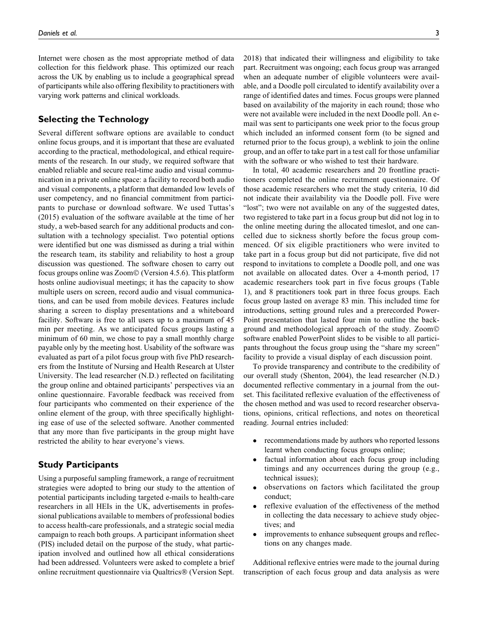Internet were chosen as the most appropriate method of data collection for this fieldwork phase. This optimized our reach across the UK by enabling us to include a geographical spread of participants while also offering flexibility to practitioners with varying work patterns and clinical workloads.

### Selecting the Technology

Several different software options are available to conduct online focus groups, and it is important that these are evaluated according to the practical, methodological, and ethical requirements of the research. In our study, we required software that enabled reliable and secure real-time audio and visual communication in a private online space: a facility to record both audio and visual components, a platform that demanded low levels of user competency, and no financial commitment from participants to purchase or download software. We used Tuttas's (2015) evaluation of the software available at the time of her study, a web-based search for any additional products and consultation with a technology specialist. Two potential options were identified but one was dismissed as during a trial within the research team, its stability and reliability to host a group discussion was questioned. The software chosen to carry out focus groups online was Zoom© (Version 4.5.6). This platform hosts online audiovisual meetings; it has the capacity to show multiple users on screen, record audio and visual communications, and can be used from mobile devices. Features include sharing a screen to display presentations and a whiteboard facility. Software is free to all users up to a maximum of 45 min per meeting. As we anticipated focus groups lasting a minimum of 60 min, we chose to pay a small monthly charge payable only by the meeting host. Usability of the software was evaluated as part of a pilot focus group with five PhD researchers from the Institute of Nursing and Health Research at Ulster University. The lead researcher (N.D.) reflected on facilitating the group online and obtained participants' perspectives via an online questionnaire. Favorable feedback was received from four participants who commented on their experience of the online element of the group, with three specifically highlighting ease of use of the selected software. Another commented that any more than five participants in the group might have restricted the ability to hear everyone's views.

# Study Participants

Using a purposeful sampling framework, a range of recruitment strategies were adopted to bring our study to the attention of potential participants including targeted e-mails to health-care researchers in all HEIs in the UK, advertisements in professional publications available to members of professional bodies to access health-care professionals, and a strategic social media campaign to reach both groups. A participant information sheet (PIS) included detail on the purpose of the study, what participation involved and outlined how all ethical considerations had been addressed. Volunteers were asked to complete a brief online recruitment questionnaire via Qualtrics® (Version Sept.

2018) that indicated their willingness and eligibility to take part. Recruitment was ongoing; each focus group was arranged when an adequate number of eligible volunteers were available, and a Doodle poll circulated to identify availability over a range of identified dates and times. Focus groups were planned based on availability of the majority in each round; those who were not available were included in the next Doodle poll. An email was sent to participants one week prior to the focus group which included an informed consent form (to be signed and returned prior to the focus group), a weblink to join the online group, and an offer to take part in a test call for those unfamiliar with the software or who wished to test their hardware.

In total, 40 academic researchers and 20 frontline practitioners completed the online recruitment questionnaire. Of those academic researchers who met the study criteria, 10 did not indicate their availability via the Doodle poll. Five were "lost"; two were not available on any of the suggested dates, two registered to take part in a focus group but did not log in to the online meeting during the allocated timeslot, and one cancelled due to sickness shortly before the focus group commenced. Of six eligible practitioners who were invited to take part in a focus group but did not participate, five did not respond to invitations to complete a Doodle poll, and one was not available on allocated dates. Over a 4-month period, 17 academic researchers took part in five focus groups (Table 1), and 8 practitioners took part in three focus groups. Each focus group lasted on average 83 min. This included time for introductions, setting ground rules and a prerecorded Power-Point presentation that lasted four min to outline the background and methodological approach of the study. Zoom© software enabled PowerPoint slides to be visible to all participants throughout the focus group using the "share my screen" facility to provide a visual display of each discussion point.

To provide transparency and contribute to the credibility of our overall study (Shenton, 2004), the lead researcher (N.D.) documented reflective commentary in a journal from the outset. This facilitated reflexive evaluation of the effectiveness of the chosen method and was used to record researcher observations, opinions, critical reflections, and notes on theoretical reading. Journal entries included:

- $\bullet$  recommendations made by authors who reported lessons learnt when conducting focus groups online;
- $\bullet$  factual information about each focus group including timings and any occurrences during the group (e.g., technical issues);
- $\bullet$  observations on factors which facilitated the group conduct;
- $\bullet$  reflexive evaluation of the effectiveness of the method in collecting the data necessary to achieve study objectives; and
- $\bullet$  improvements to enhance subsequent groups and reflections on any changes made.

Additional reflexive entries were made to the journal during transcription of each focus group and data analysis as were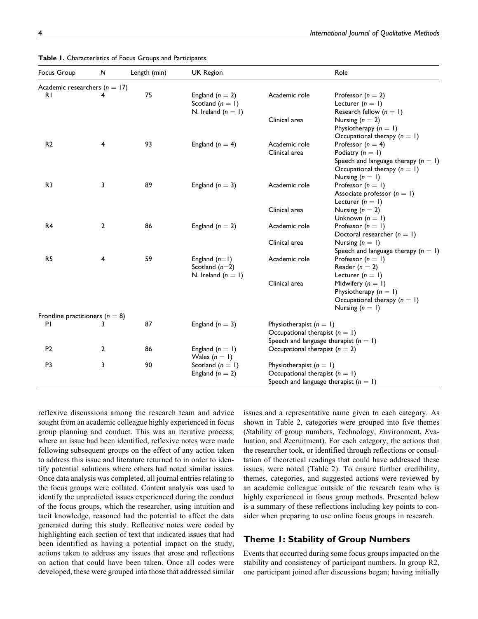| Focus Group                         | N | Length (min) | UK Region                                                       |                                                                                                          | Role                                                                                                                                        |
|-------------------------------------|---|--------------|-----------------------------------------------------------------|----------------------------------------------------------------------------------------------------------|---------------------------------------------------------------------------------------------------------------------------------------------|
| Academic researchers ( $n = 17$ )   |   |              |                                                                 |                                                                                                          |                                                                                                                                             |
| R <sub>1</sub>                      |   | 75           | England $(n = 2)$<br>Scotland $(n = 1)$<br>N. Ireland $(n = 1)$ | Academic role                                                                                            | Professor ( $n = 2$ )<br>Lecturer $(n = 1)$<br>Research fellow $(n = 1)$                                                                    |
|                                     |   |              |                                                                 | Clinical area                                                                                            | Nursing $(n = 2)$<br>Physiotherapy $(n = 1)$<br>Occupational therapy $(n = 1)$                                                              |
| R <sub>2</sub>                      | 4 | 93           | England $(n = 4)$                                               | Academic role<br>Clinical area                                                                           | Professor ( $n = 4$ )<br>Podiatry $(n = 1)$<br>Speech and language therapy $(n = 1)$<br>Occupational therapy $(n = 1)$<br>Nursing $(n = 1)$ |
| R <sub>3</sub>                      | 3 | 89           | England $(n = 3)$                                               | Academic role                                                                                            | Professor $(n = 1)$<br>Associate professor $(n = 1)$<br>Lecturer $(n = 1)$                                                                  |
|                                     |   |              |                                                                 | Clinical area                                                                                            | Nursing $(n = 2)$<br>Unknown $(n = 1)$                                                                                                      |
| R <sub>4</sub>                      | 2 | 86           | England $(n = 2)$                                               | Academic role                                                                                            | Professor $(n = 1)$<br>Doctoral researcher $(n = 1)$                                                                                        |
|                                     |   |              |                                                                 | Clinical area                                                                                            | Nursing $(n = 1)$<br>Speech and language therapy $(n = 1)$                                                                                  |
| R <sub>5</sub>                      | 4 | 59           | England $(n=1)$<br>Scotland $(n=2)$<br>N. Ireland $(n = 1)$     | Academic role                                                                                            | Professor $(n = 1)$<br>Reader $(n = 2)$<br>Lecturer $(n = 1)$                                                                               |
|                                     |   |              |                                                                 | Clinical area                                                                                            | Midwifery $(n = 1)$<br>Physiotherapy $(n = 1)$<br>Occupational therapy $(n = 1)$<br>Nursing $(n = 1)$                                       |
| Frontline practitioners ( $n = 8$ ) |   |              |                                                                 |                                                                                                          |                                                                                                                                             |
| PI                                  | 3 | 87           | England $(n = 3)$                                               | Physiotherapist $(n = 1)$<br>Occupational therapist $(n = 1)$<br>Speech and language therapist $(n = 1)$ |                                                                                                                                             |
| P <sub>2</sub>                      | 2 | 86           | England $(n = 1)$<br>Wales $(n = 1)$                            | Occupational therapist $(n = 2)$                                                                         |                                                                                                                                             |
| P <sub>3</sub>                      | 3 | 90           | Scotland $(n = 1)$<br>England $(n = 2)$                         | Physiotherapist $(n = 1)$<br>Occupational therapist $(n = 1)$<br>Speech and language therapist $(n = 1)$ |                                                                                                                                             |

Table 1. Characteristics of Focus Groups and Participants.

reflexive discussions among the research team and advice sought from an academic colleague highly experienced in focus group planning and conduct. This was an iterative process; where an issue had been identified, reflexive notes were made following subsequent groups on the effect of any action taken to address this issue and literature returned to in order to identify potential solutions where others had noted similar issues. Once data analysis was completed, all journal entries relating to the focus groups were collated. Content analysis was used to identify the unpredicted issues experienced during the conduct of the focus groups, which the researcher, using intuition and tacit knowledge, reasoned had the potential to affect the data generated during this study. Reflective notes were coded by highlighting each section of text that indicated issues that had been identified as having a potential impact on the study, actions taken to address any issues that arose and reflections on action that could have been taken. Once all codes were developed, these were grouped into those that addressed similar

issues and a representative name given to each category. As shown in Table 2, categories were grouped into five themes (Stability of group numbers, Technology, Environment, Evaluation, and Recruitment). For each category, the actions that the researcher took, or identified through reflections or consultation of theoretical readings that could have addressed these issues, were noted (Table 2). To ensure further credibility, themes, categories, and suggested actions were reviewed by an academic colleague outside of the research team who is highly experienced in focus group methods. Presented below is a summary of these reflections including key points to consider when preparing to use online focus groups in research.

# Theme 1: Stability of Group Numbers

Events that occurred during some focus groups impacted on the stability and consistency of participant numbers. In group R2, one participant joined after discussions began; having initially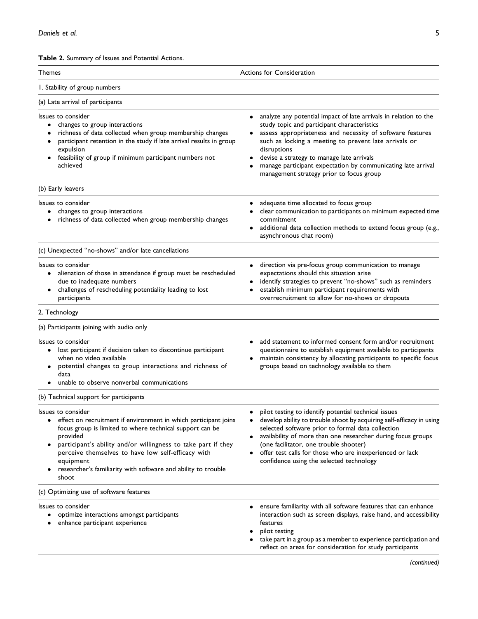Table 2. Summary of Issues and Potential Actions.

| <b>Themes</b>                                                                                                                                                                                                                                                                                                                                                               | <b>Actions for Consideration</b>                                                                                                                                                                                                                                                                                                                                                                              |  |  |
|-----------------------------------------------------------------------------------------------------------------------------------------------------------------------------------------------------------------------------------------------------------------------------------------------------------------------------------------------------------------------------|---------------------------------------------------------------------------------------------------------------------------------------------------------------------------------------------------------------------------------------------------------------------------------------------------------------------------------------------------------------------------------------------------------------|--|--|
| I. Stability of group numbers                                                                                                                                                                                                                                                                                                                                               |                                                                                                                                                                                                                                                                                                                                                                                                               |  |  |
| (a) Late arrival of participants                                                                                                                                                                                                                                                                                                                                            |                                                                                                                                                                                                                                                                                                                                                                                                               |  |  |
| Issues to consider<br>changes to group interactions<br>richness of data collected when group membership changes<br>participant retention in the study if late arrival results in group<br>expulsion<br>feasibility of group if minimum participant numbers not<br>achieved                                                                                                  | analyze any potential impact of late arrivals in relation to the<br>study topic and participant characteristics<br>assess appropriateness and necessity of software features<br>such as locking a meeting to prevent late arrivals or<br>disruptions<br>devise a strategy to manage late arrivals<br>manage participant expectation by communicating late arrival<br>management strategy prior to focus group |  |  |
| (b) Early leavers                                                                                                                                                                                                                                                                                                                                                           |                                                                                                                                                                                                                                                                                                                                                                                                               |  |  |
| Issues to consider<br>changes to group interactions<br>richness of data collected when group membership changes                                                                                                                                                                                                                                                             | adequate time allocated to focus group<br>clear communication to participants on minimum expected time<br>commitment<br>additional data collection methods to extend focus group (e.g.,<br>asynchronous chat room)                                                                                                                                                                                            |  |  |
| (c) Unexpected "no-shows" and/or late cancellations                                                                                                                                                                                                                                                                                                                         |                                                                                                                                                                                                                                                                                                                                                                                                               |  |  |
| Issues to consider<br>alienation of those in attendance if group must be rescheduled<br>due to inadequate numbers<br>challenges of rescheduling potentiality leading to lost<br>participants                                                                                                                                                                                | direction via pre-focus group communication to manage<br>expectations should this situation arise<br>identify strategies to prevent "no-shows" such as reminders<br>establish minimum participant requirements with<br>overrecruitment to allow for no-shows or dropouts                                                                                                                                      |  |  |
| 2. Technology                                                                                                                                                                                                                                                                                                                                                               |                                                                                                                                                                                                                                                                                                                                                                                                               |  |  |
| (a) Participants joining with audio only                                                                                                                                                                                                                                                                                                                                    |                                                                                                                                                                                                                                                                                                                                                                                                               |  |  |
| Issues to consider<br>lost participant if decision taken to discontinue participant<br>when no video available<br>potential changes to group interactions and richness of<br>data<br>unable to observe nonverbal communications                                                                                                                                             | add statement to informed consent form and/or recruitment<br>questionnaire to establish equipment available to participants<br>maintain consistency by allocating participants to specific focus<br>groups based on technology available to them                                                                                                                                                              |  |  |
| (b) Technical support for participants                                                                                                                                                                                                                                                                                                                                      |                                                                                                                                                                                                                                                                                                                                                                                                               |  |  |
| Issues to consider<br>effect on recruitment if environment in which participant joins<br>focus group is limited to where technical support can be<br>provided<br>participant's ability and/or willingness to take part if they<br>perceive themselves to have low self-efficacy with<br>equipment<br>researcher's familiarity with software and ability to trouble<br>shoot | pilot testing to identify potential technical issues<br>develop ability to trouble shoot by acquiring self-efficacy in using<br>selected software prior to formal data collection<br>availability of more than one researcher during focus groups<br>(one facilitator, one trouble shooter)<br>offer test calls for those who are inexperienced or lack<br>confidence using the selected technology           |  |  |
| (c) Optimizing use of software features                                                                                                                                                                                                                                                                                                                                     |                                                                                                                                                                                                                                                                                                                                                                                                               |  |  |
| Issues to consider<br>optimize interactions amongst participants<br>enhance participant experience                                                                                                                                                                                                                                                                          | ensure familiarity with all software features that can enhance<br>٠<br>interaction such as screen displays, raise hand, and accessibility<br>features<br>pilot testing<br>take part in a group as a member to experience participation and<br>reflect on areas for consideration for study participants                                                                                                       |  |  |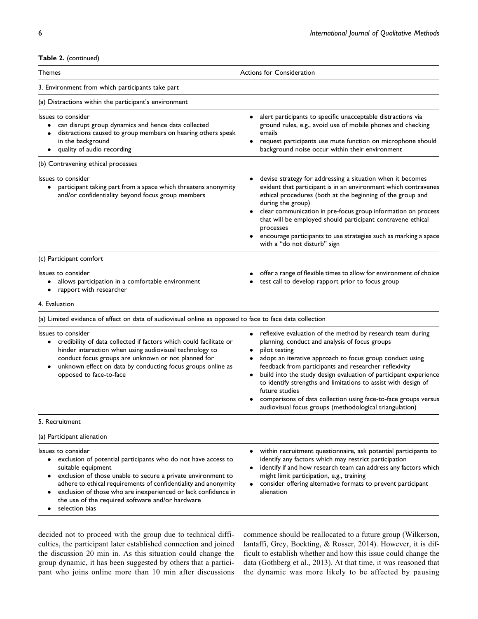#### Table 2. (continued)

| Themes                                                                                                                                                                                                                                                                                               | <b>Actions for Consideration</b>                                                                                                                                                                                                                                                                                                                                                                                                                                                                                                         |  |
|------------------------------------------------------------------------------------------------------------------------------------------------------------------------------------------------------------------------------------------------------------------------------------------------------|------------------------------------------------------------------------------------------------------------------------------------------------------------------------------------------------------------------------------------------------------------------------------------------------------------------------------------------------------------------------------------------------------------------------------------------------------------------------------------------------------------------------------------------|--|
| 3. Environment from which participants take part                                                                                                                                                                                                                                                     |                                                                                                                                                                                                                                                                                                                                                                                                                                                                                                                                          |  |
| (a) Distractions within the participant's environment                                                                                                                                                                                                                                                |                                                                                                                                                                                                                                                                                                                                                                                                                                                                                                                                          |  |
| Issues to consider<br>can disrupt group dynamics and hence data collected<br>$\bullet$<br>distractions caused to group members on hearing others speak<br>in the background<br>quality of audio recording                                                                                            | alert participants to specific unacceptable distractions via<br>ground rules, e.g., avoid use of mobile phones and checking<br>emails<br>request participants use mute function on microphone should<br>background noise occur within their environment                                                                                                                                                                                                                                                                                  |  |
| (b) Contravening ethical processes                                                                                                                                                                                                                                                                   |                                                                                                                                                                                                                                                                                                                                                                                                                                                                                                                                          |  |
| lssues to consider<br>participant taking part from a space which threatens anonymity<br>and/or confidentiality beyond focus group members                                                                                                                                                            | devise strategy for addressing a situation when it becomes<br>evident that participant is in an environment which contravenes<br>ethical procedures (both at the beginning of the group and<br>during the group)<br>clear communication in pre-focus group information on process<br>that will be employed should participant contravene ethical<br>processes<br>encourage participants to use strategies such as marking a space<br>with a "do not disturb" sign                                                                        |  |
| (c) Participant comfort                                                                                                                                                                                                                                                                              |                                                                                                                                                                                                                                                                                                                                                                                                                                                                                                                                          |  |
| lssues to consider<br>allows participation in a comfortable environment<br>rapport with researcher                                                                                                                                                                                                   | offer a range of flexible times to allow for environment of choice<br>test call to develop rapport prior to focus group                                                                                                                                                                                                                                                                                                                                                                                                                  |  |
| 4. Evaluation                                                                                                                                                                                                                                                                                        |                                                                                                                                                                                                                                                                                                                                                                                                                                                                                                                                          |  |
| (a) Limited evidence of effect on data of audiovisual online as opposed to face to face data collection                                                                                                                                                                                              |                                                                                                                                                                                                                                                                                                                                                                                                                                                                                                                                          |  |
| Issues to consider<br>credibility of data collected if factors which could facilitate or<br>hinder interaction when using audiovisual technology to<br>conduct focus groups are unknown or not planned for<br>unknown effect on data by conducting focus groups online as<br>opposed to face-to-face | reflexive evaluation of the method by research team during<br>planning, conduct and analysis of focus groups<br>pilot testing<br>adopt an iterative approach to focus group conduct using<br>feedback from participants and researcher reflexivity<br>build into the study design evaluation of participant experience<br>to identify strengths and limitations to assist with design of<br>future studies<br>comparisons of data collection using face-to-face groups versus<br>audiovisual focus groups (methodological triangulation) |  |
| 5. Recruitment                                                                                                                                                                                                                                                                                       |                                                                                                                                                                                                                                                                                                                                                                                                                                                                                                                                          |  |
| (a) Participant alienation                                                                                                                                                                                                                                                                           |                                                                                                                                                                                                                                                                                                                                                                                                                                                                                                                                          |  |
| lssues to consider<br>exclusion of potential participants who do not have access to<br>$\bullet$<br>suitable equipment<br>exclusion of those unable to secure a private environment to<br>adhere to ethical requirements of confidentiality and anonymity                                            | within recruitment questionnaire, ask potential participants to<br>identify any factors which may restrict participation<br>identify if and how research team can address any factors which<br>might limit participation, e.g., training<br>consider offering alternative formats to prevent participant<br>$\bullet$                                                                                                                                                                                                                    |  |

- $\bullet$  exclusion of those who are inexperienced or lack confidence in the use of the required software and/or hardware
- $\bullet$ selection bias

 $\bullet$  consider offering alternative formats to prevent participant alienation

decided not to proceed with the group due to technical difficulties, the participant later established connection and joined the discussion 20 min in. As this situation could change the group dynamic, it has been suggested by others that a participant who joins online more than 10 min after discussions commence should be reallocated to a future group (Wilkerson, Iantaffi, Grey, Bockting, & Rosser, 2014). However, it is difficult to establish whether and how this issue could change the data (Gothberg et al., 2013). At that time, it was reasoned that the dynamic was more likely to be affected by pausing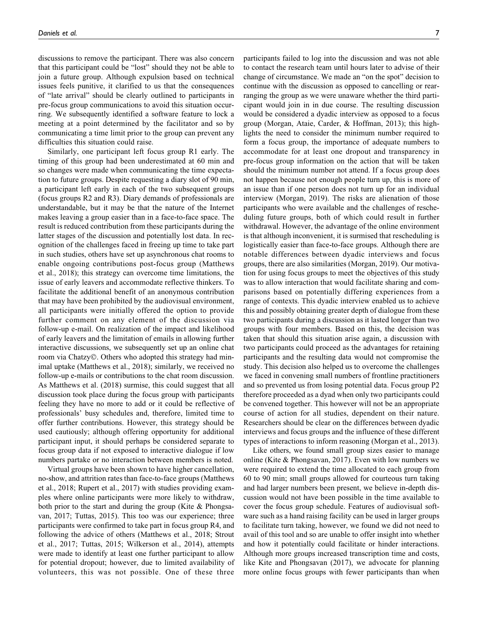discussions to remove the participant. There was also concern that this participant could be "lost" should they not be able to join a future group. Although expulsion based on technical issues feels punitive, it clarified to us that the consequences of "late arrival" should be clearly outlined to participants in pre-focus group communications to avoid this situation occurring. We subsequently identified a software feature to lock a meeting at a point determined by the facilitator and so by communicating a time limit prior to the group can prevent any difficulties this situation could raise.

Similarly, one participant left focus group R1 early. The timing of this group had been underestimated at 60 min and so changes were made when communicating the time expectation to future groups. Despite requesting a diary slot of 90 min, a participant left early in each of the two subsequent groups (focus groups R2 and R3). Diary demands of professionals are understandable, but it may be that the nature of the Internet makes leaving a group easier than in a face-to-face space. The result is reduced contribution from these participants during the latter stages of the discussion and potentially lost data. In recognition of the challenges faced in freeing up time to take part in such studies, others have set up asynchronous chat rooms to enable ongoing contributions post-focus group (Matthews et al., 2018); this strategy can overcome time limitations, the issue of early leavers and accommodate reflective thinkers. To facilitate the additional benefit of an anonymous contribution that may have been prohibited by the audiovisual environment, all participants were initially offered the option to provide further comment on any element of the discussion via follow-up e-mail. On realization of the impact and likelihood of early leavers and the limitation of emails in allowing further interactive discussions, we subsequently set up an online chat room via Chatzy©. Others who adopted this strategy had minimal uptake (Matthews et al., 2018); similarly, we received no follow-up e-mails or contributions to the chat room discussion. As Matthews et al. (2018) surmise, this could suggest that all discussion took place during the focus group with participants feeling they have no more to add or it could be reflective of professionals' busy schedules and, therefore, limited time to offer further contributions. However, this strategy should be used cautiously; although offering opportunity for additional participant input, it should perhaps be considered separate to focus group data if not exposed to interactive dialogue if low numbers partake or no interaction between members is noted.

Virtual groups have been shown to have higher cancellation, no-show, and attrition rates than face-to-face groups (Matthews et al., 2018; Rupert et al., 2017) with studies providing examples where online participants were more likely to withdraw, both prior to the start and during the group (Kite & Phongsavan, 2017; Tuttas, 2015). This too was our experience; three participants were confirmed to take part in focus group R4, and following the advice of others (Matthews et al., 2018; Strout et al., 2017; Tuttas, 2015; Wilkerson et al., 2014), attempts were made to identify at least one further participant to allow for potential dropout; however, due to limited availability of volunteers, this was not possible. One of these three participants failed to log into the discussion and was not able to contact the research team until hours later to advise of their change of circumstance. We made an "on the spot" decision to continue with the discussion as opposed to cancelling or rearranging the group as we were unaware whether the third participant would join in in due course. The resulting discussion would be considered a dyadic interview as opposed to a focus group (Morgan, Ataie, Carder, & Hoffman, 2013); this highlights the need to consider the minimum number required to form a focus group, the importance of adequate numbers to accommodate for at least one dropout and transparency in pre-focus group information on the action that will be taken should the minimum number not attend. If a focus group does not happen because not enough people turn up, this is more of an issue than if one person does not turn up for an individual interview (Morgan, 2019). The risks are alienation of those participants who were available and the challenges of rescheduling future groups, both of which could result in further withdrawal. However, the advantage of the online environment is that although inconvenient, it is surmised that rescheduling is logistically easier than face-to-face groups. Although there are notable differences between dyadic interviews and focus groups, there are also similarities (Morgan, 2019). Our motivation for using focus groups to meet the objectives of this study was to allow interaction that would facilitate sharing and comparisons based on potentially differing experiences from a range of contexts. This dyadic interview enabled us to achieve this and possibly obtaining greater depth of dialogue from these two participants during a discussion as it lasted longer than two groups with four members. Based on this, the decision was taken that should this situation arise again, a discussion with two participants could proceed as the advantages for retaining participants and the resulting data would not compromise the study. This decision also helped us to overcome the challenges we faced in convening small numbers of frontline practitioners and so prevented us from losing potential data. Focus group P2 therefore proceeded as a dyad when only two participants could be convened together. This however will not be an appropriate course of action for all studies, dependent on their nature. Researchers should be clear on the differences between dyadic interviews and focus groups and the influence of these different types of interactions to inform reasoning (Morgan et al., 2013).

Like others, we found small group sizes easier to manage online (Kite & Phongsavan, 2017). Even with low numbers we were required to extend the time allocated to each group from 60 to 90 min; small groups allowed for courteous turn taking and had larger numbers been present, we believe in-depth discussion would not have been possible in the time available to cover the focus group schedule. Features of audiovisual software such as a hand raising facility can be used in larger groups to facilitate turn taking, however, we found we did not need to avail of this tool and so are unable to offer insight into whether and how it potentially could facilitate or hinder interactions. Although more groups increased transcription time and costs, like Kite and Phongsavan (2017), we advocate for planning more online focus groups with fewer participants than when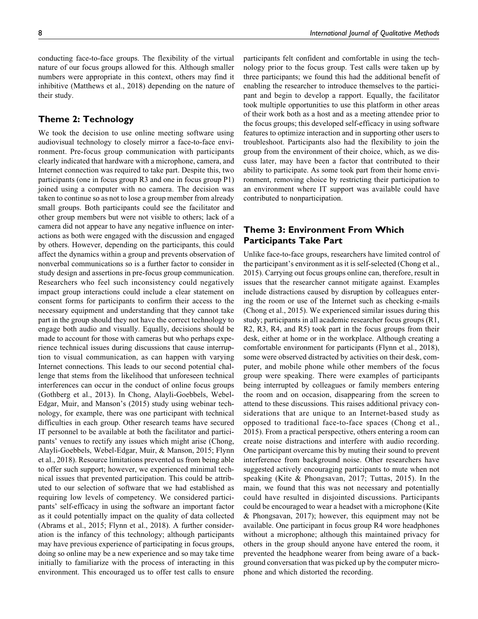conducting face-to-face groups. The flexibility of the virtual nature of our focus groups allowed for this. Although smaller numbers were appropriate in this context, others may find it inhibitive (Matthews et al., 2018) depending on the nature of their study.

# Theme 2: Technology

We took the decision to use online meeting software using audiovisual technology to closely mirror a face-to-face environment. Pre-focus group communication with participants clearly indicated that hardware with a microphone, camera, and Internet connection was required to take part. Despite this, two participants (one in focus group R3 and one in focus group P1) joined using a computer with no camera. The decision was taken to continue so as not to lose a group member from already small groups. Both participants could see the facilitator and other group members but were not visible to others; lack of a camera did not appear to have any negative influence on interactions as both were engaged with the discussion and engaged by others. However, depending on the participants, this could affect the dynamics within a group and prevents observation of nonverbal communications so is a further factor to consider in study design and assertions in pre-focus group communication. Researchers who feel such inconsistency could negatively impact group interactions could include a clear statement on consent forms for participants to confirm their access to the necessary equipment and understanding that they cannot take part in the group should they not have the correct technology to engage both audio and visually. Equally, decisions should be made to account for those with cameras but who perhaps experience technical issues during discussions that cause interruption to visual communication, as can happen with varying Internet connections. This leads to our second potential challenge that stems from the likelihood that unforeseen technical interferences can occur in the conduct of online focus groups (Gothberg et al., 2013). In Chong, Alayli-Goebbels, Webel-Edgar, Muir, and Manson's (2015) study using webinar technology, for example, there was one participant with technical difficulties in each group. Other research teams have secured IT personnel to be available at both the facilitator and participants' venues to rectify any issues which might arise (Chong, Alayli-Goebbels, Webel-Edgar, Muir, & Manson, 2015; Flynn et al., 2018). Resource limitations prevented us from being able to offer such support; however, we experienced minimal technical issues that prevented participation. This could be attributed to our selection of software that we had established as requiring low levels of competency. We considered participants' self-efficacy in using the software an important factor as it could potentially impact on the quality of data collected (Abrams et al., 2015; Flynn et al., 2018). A further consideration is the infancy of this technology; although participants may have previous experience of participating in focus groups, doing so online may be a new experience and so may take time initially to familiarize with the process of interacting in this environment. This encouraged us to offer test calls to ensure

participants felt confident and comfortable in using the technology prior to the focus group. Test calls were taken up by three participants; we found this had the additional benefit of enabling the researcher to introduce themselves to the participant and begin to develop a rapport. Equally, the facilitator took multiple opportunities to use this platform in other areas of their work both as a host and as a meeting attendee prior to the focus groups; this developed self-efficacy in using software features to optimize interaction and in supporting other users to troubleshoot. Participants also had the flexibility to join the group from the environment of their choice, which, as we discuss later, may have been a factor that contributed to their ability to participate. As some took part from their home environment, removing choice by restricting their participation to an environment where IT support was available could have contributed to nonparticipation.

# Theme 3: Environment From Which Participants Take Part

Unlike face-to-face groups, researchers have limited control of the participant's environment as it is self-selected (Chong et al., 2015). Carrying out focus groups online can, therefore, result in issues that the researcher cannot mitigate against. Examples include distractions caused by disruption by colleagues entering the room or use of the Internet such as checking e-mails (Chong et al., 2015). We experienced similar issues during this study; participants in all academic researcher focus groups (R1, R2, R3, R4, and R5) took part in the focus groups from their desk, either at home or in the workplace. Although creating a comfortable environment for participants (Flynn et al., 2018), some were observed distracted by activities on their desk, computer, and mobile phone while other members of the focus group were speaking. There were examples of participants being interrupted by colleagues or family members entering the room and on occasion, disappearing from the screen to attend to these discussions. This raises additional privacy considerations that are unique to an Internet-based study as opposed to traditional face-to-face spaces (Chong et al., 2015). From a practical perspective, others entering a room can create noise distractions and interfere with audio recording. One participant overcame this by muting their sound to prevent interference from background noise. Other researchers have suggested actively encouraging participants to mute when not speaking (Kite & Phongsavan, 2017; Tuttas, 2015). In the main, we found that this was not necessary and potentially could have resulted in disjointed discussions. Participants could be encouraged to wear a headset with a microphone (Kite & Phongsavan, 2017); however, this equipment may not be available. One participant in focus group R4 wore headphones without a microphone; although this maintained privacy for others in the group should anyone have entered the room, it prevented the headphone wearer from being aware of a background conversation that was picked up by the computer microphone and which distorted the recording.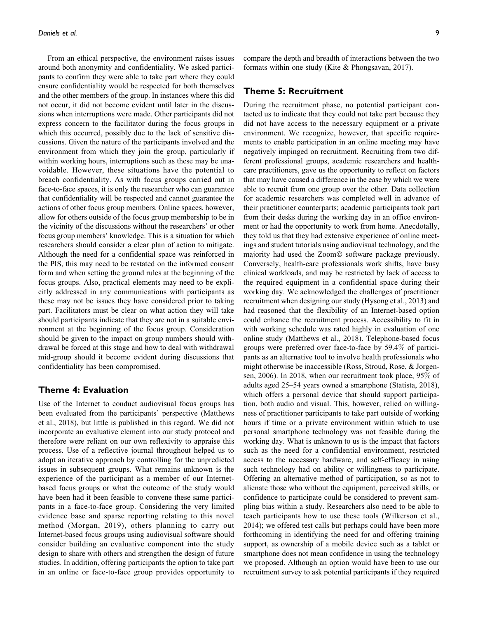From an ethical perspective, the environment raises issues around both anonymity and confidentiality. We asked participants to confirm they were able to take part where they could ensure confidentiality would be respected for both themselves and the other members of the group. In instances where this did not occur, it did not become evident until later in the discussions when interruptions were made. Other participants did not express concern to the facilitator during the focus groups in which this occurred, possibly due to the lack of sensitive discussions. Given the nature of the participants involved and the environment from which they join the group, particularly if within working hours, interruptions such as these may be unavoidable. However, these situations have the potential to breach confidentiality. As with focus groups carried out in face-to-face spaces, it is only the researcher who can guarantee that confidentiality will be respected and cannot guarantee the actions of other focus group members. Online spaces, however, allow for others outside of the focus group membership to be in the vicinity of the discussions without the researchers' or other focus group members' knowledge. This is a situation for which researchers should consider a clear plan of action to mitigate. Although the need for a confidential space was reinforced in the PIS, this may need to be restated on the informed consent form and when setting the ground rules at the beginning of the focus groups. Also, practical elements may need to be explicitly addressed in any communications with participants as these may not be issues they have considered prior to taking part. Facilitators must be clear on what action they will take should participants indicate that they are not in a suitable environment at the beginning of the focus group. Consideration should be given to the impact on group numbers should withdrawal be forced at this stage and how to deal with withdrawal mid-group should it become evident during discussions that confidentiality has been compromised.

#### Theme 4: Evaluation

Use of the Internet to conduct audiovisual focus groups has been evaluated from the participants' perspective (Matthews et al., 2018), but little is published in this regard. We did not incorporate an evaluative element into our study protocol and therefore were reliant on our own reflexivity to appraise this process. Use of a reflective journal throughout helped us to adopt an iterative approach by controlling for the unpredicted issues in subsequent groups. What remains unknown is the experience of the participant as a member of our Internetbased focus groups or what the outcome of the study would have been had it been feasible to convene these same participants in a face-to-face group. Considering the very limited evidence base and sparse reporting relating to this novel method (Morgan, 2019), others planning to carry out Internet-based focus groups using audiovisual software should consider building an evaluative component into the study design to share with others and strengthen the design of future studies. In addition, offering participants the option to take part in an online or face-to-face group provides opportunity to compare the depth and breadth of interactions between the two formats within one study (Kite & Phongsavan, 2017).

#### Theme 5: Recruitment

During the recruitment phase, no potential participant contacted us to indicate that they could not take part because they did not have access to the necessary equipment or a private environment. We recognize, however, that specific requirements to enable participation in an online meeting may have negatively impinged on recruitment. Recruiting from two different professional groups, academic researchers and healthcare practitioners, gave us the opportunity to reflect on factors that may have caused a difference in the ease by which we were able to recruit from one group over the other. Data collection for academic researchers was completed well in advance of their practitioner counterparts; academic participants took part from their desks during the working day in an office environment or had the opportunity to work from home. Anecdotally, they told us that they had extensive experience of online meetings and student tutorials using audiovisual technology, and the majority had used the Zoom© software package previously. Conversely, health-care professionals work shifts, have busy clinical workloads, and may be restricted by lack of access to the required equipment in a confidential space during their working day. We acknowledged the challenges of practitioner recruitment when designing our study (Hysong et al., 2013) and had reasoned that the flexibility of an Internet-based option could enhance the recruitment process. Accessibility to fit in with working schedule was rated highly in evaluation of one online study (Matthews et al., 2018). Telephone-based focus groups were preferred over face-to-face by 59.4% of participants as an alternative tool to involve health professionals who might otherwise be inaccessible (Ross, Stroud, Rose, & Jorgensen, 2006). In 2018, when our recruitment took place, 95% of adults aged 25–54 years owned a smartphone (Statista, 2018), which offers a personal device that should support participation, both audio and visual. This, however, relied on willingness of practitioner participants to take part outside of working hours if time or a private environment within which to use personal smartphone technology was not feasible during the working day. What is unknown to us is the impact that factors such as the need for a confidential environment, restricted access to the necessary hardware, and self-efficacy in using such technology had on ability or willingness to participate. Offering an alternative method of participation, so as not to alienate those who without the equipment, perceived skills, or confidence to participate could be considered to prevent sampling bias within a study. Researchers also need to be able to teach participants how to use these tools (Wilkerson et al., 2014); we offered test calls but perhaps could have been more forthcoming in identifying the need for and offering training support, as ownership of a mobile device such as a tablet or smartphone does not mean confidence in using the technology we proposed. Although an option would have been to use our recruitment survey to ask potential participants if they required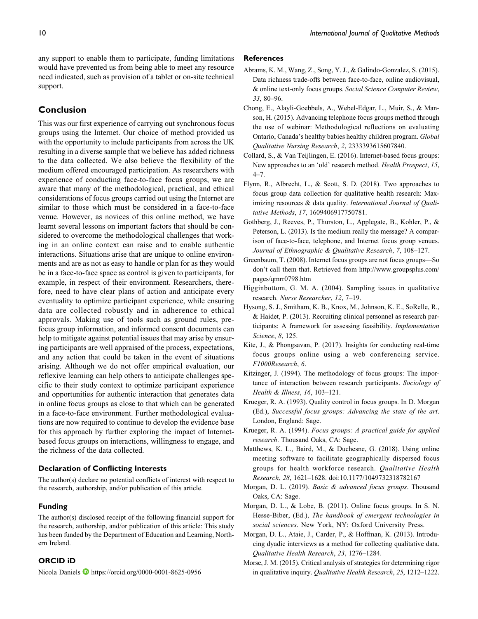any support to enable them to participate, funding limitations would have prevented us from being able to meet any resource need indicated, such as provision of a tablet or on-site technical support.

# Conclusion

This was our first experience of carrying out synchronous focus groups using the Internet. Our choice of method provided us with the opportunity to include participants from across the UK resulting in a diverse sample that we believe has added richness to the data collected. We also believe the flexibility of the medium offered encouraged participation. As researchers with experience of conducting face-to-face focus groups, we are aware that many of the methodological, practical, and ethical considerations of focus groups carried out using the Internet are similar to those which must be considered in a face-to-face venue. However, as novices of this online method, we have learnt several lessons on important factors that should be considered to overcome the methodological challenges that working in an online context can raise and to enable authentic interactions. Situations arise that are unique to online environments and are as not as easy to handle or plan for as they would be in a face-to-face space as control is given to participants, for example, in respect of their environment. Researchers, therefore, need to have clear plans of action and anticipate every eventuality to optimize participant experience, while ensuring data are collected robustly and in adherence to ethical approvals. Making use of tools such as ground rules, prefocus group information, and informed consent documents can help to mitigate against potential issues that may arise by ensuring participants are well appraised of the process, expectations, and any action that could be taken in the event of situations arising. Although we do not offer empirical evaluation, our reflexive learning can help others to anticipate challenges specific to their study context to optimize participant experience and opportunities for authentic interaction that generates data in online focus groups as close to that which can be generated in a face-to-face environment. Further methodological evaluations are now required to continue to develop the evidence base for this approach by further exploring the impact of Internetbased focus groups on interactions, willingness to engage, and the richness of the data collected.

#### Declaration of Conflicting Interests

The author(s) declare no potential conflicts of interest with respect to the research, authorship, and/or publication of this article.

#### Funding

The author(s) disclosed receipt of the following financial support for the research, authorship, and/or publication of this article: This study has been funded by the Department of Education and Learning, Northern Ireland.

#### ORCID iD

Nicola Daniels <https://orcid.org/0000-0001-8625-0956>

#### References

- Abrams, K. M., Wang, Z., Song, Y. J., & Galindo-Gonzalez, S. (2015). Data richness trade-offs between face-to-face, online audiovisual, & online text-only focus groups. Social Science Computer Review, 33, 80–96.
- Chong, E., Alayli-Goebbels, A., Webel-Edgar, L., Muir, S., & Manson, H. (2015). Advancing telephone focus groups method through the use of webinar: Methodological reflections on evaluating Ontario, Canada's healthy babies healthy children program. Global Qualitative Nursing Research, 2, 2333393615607840.
- Collard, S., & Van Teijlingen, E. (2016). Internet-based focus groups: New approaches to an 'old' research method. Health Prospect, 15, 4–7.
- Flynn, R., Albrecht, L., & Scott, S. D. (2018). Two approaches to focus group data collection for qualitative health research: Maximizing resources & data quality. International Journal of Qualitative Methods, 17, 1609406917750781.
- Gothberg, J., Reeves, P., Thurston, L., Applegate, B., Kohler, P., & Peterson, L. (2013). Is the medium really the message? A comparison of face-to-face, telephone, and Internet focus group venues. Journal of Ethnographic & Qualitative Research, 7, 108–127.
- Greenbaum, T. (2008). Internet focus groups are not focus groups—So don't call them that. Retrieved from [http://www.groupsplus.com/](http://www.groupsplus.com/pages/qmrr0798.htm) [pages/qmrr0798.htm](http://www.groupsplus.com/pages/qmrr0798.htm)
- Higginbottom, G. M. A. (2004). Sampling issues in qualitative research. Nurse Researcher, 12, 7–19.
- Hysong, S. J., Smitham, K. B., Knox, M., Johnson, K. E., SoRelle, R., & Haidet, P. (2013). Recruiting clinical personnel as research participants: A framework for assessing feasibility. Implementation Science, 8, 125.
- Kite, J., & Phongsavan, P. (2017). Insights for conducting real-time focus groups online using a web conferencing service. F1000Research, 6.
- Kitzinger, J. (1994). The methodology of focus groups: The importance of interaction between research participants. Sociology of Health & Illness, 16, 103–121.
- Krueger, R. A. (1993). Quality control in focus groups. In D. Morgan (Ed.), Successful focus groups: Advancing the state of the art. London, England: Sage.
- Krueger, R. A. (1994). Focus groups: A practical guide for applied research. Thousand Oaks, CA: Sage.
- Matthews, K. L., Baird, M., & Duchesne, G. (2018). Using online meeting software to facilitate geographically dispersed focus groups for health workforce research. Qualitative Health Research, 28, 1621–1628. doi:10.1177/1049732318782167
- Morgan, D. L. (2019). Basic & advanced focus groups. Thousand Oaks, CA: Sage.
- Morgan, D. L., & Lobe, B. (2011). Online focus groups. In S. N. Hesse-Biber, (Ed.), The handbook of emergent technologies in social sciences. New York, NY: Oxford University Press.
- Morgan, D. L., Ataie, J., Carder, P., & Hoffman, K. (2013). Introducing dyadic interviews as a method for collecting qualitative data. Qualitative Health Research, 23, 1276–1284.
- Morse, J. M. (2015). Critical analysis of strategies for determining rigor in qualitative inquiry. Qualitative Health Research, 25, 1212–1222.